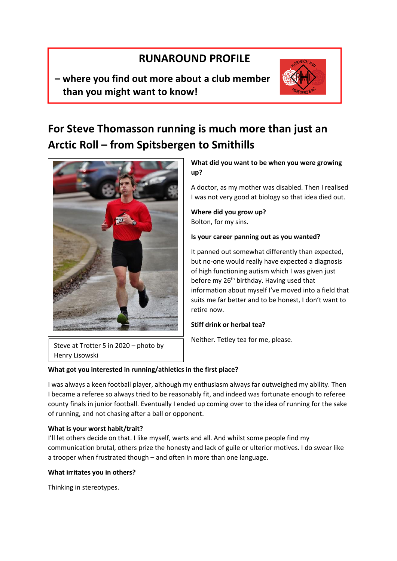# **RUNAROUND PROFILE**

**– where you find out more about a club member than you might want to know!**



# **For Steve Thomasson running is much more than just an Arctic Roll – from Spitsbergen to Smithills**



**What did you want to be when you were growing up?** 

A doctor, as my mother was disabled. Then I realised I was not very good at biology so that idea died out.

**Where did you grow up?**  Bolton, for my sins.

# **Is your career panning out as you wanted?**

It panned out somewhat differently than expected, but no-one would really have expected a diagnosis of high functioning autism which I was given just before my 26<sup>th</sup> birthday. Having used that information about myself I've moved into a field that suits me far better and to be honest, I don't want to retire now.

# **Stiff drink or herbal tea?**

Neither. Tetley tea for me, please.

Steve at Trotter 5 in 2020 – photo by Henry Lisowski

# **What got you interested in running/athletics in the first place?**

I was always a keen football player, although my enthusiasm always far outweighed my ability. Then I became a referee so always tried to be reasonably fit, and indeed was fortunate enough to referee county finals in junior football. Eventually I ended up coming over to the idea of running for the sake of running, and not chasing after a ball or opponent.

# **What is your worst habit/trait?**

I'll let others decide on that. I like myself, warts and all. And whilst some people find my communication brutal, others prize the honesty and lack of guile or ulterior motives. I do swear like a trooper when frustrated though – and often in more than one language.

# **What irritates you in others?**

Thinking in stereotypes.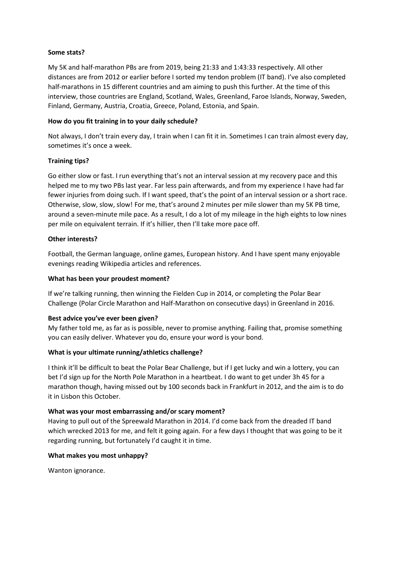## **Some stats?**

My 5K and half-marathon PBs are from 2019, being 21:33 and 1:43:33 respectively. All other distances are from 2012 or earlier before I sorted my tendon problem (IT band). I've also completed half-marathons in 15 different countries and am aiming to push this further. At the time of this interview, those countries are England, Scotland, Wales, Greenland, Faroe Islands, Norway, Sweden, Finland, Germany, Austria, Croatia, Greece, Poland, Estonia, and Spain.

## **How do you fit training in to your daily schedule?**

Not always, I don't train every day, I train when I can fit it in. Sometimes I can train almost every day, sometimes it's once a week.

## **Training tips?**

Go either slow or fast. I run everything that's not an interval session at my recovery pace and this helped me to my two PBs last year. Far less pain afterwards, and from my experience I have had far fewer injuries from doing such. If I want speed, that's the point of an interval session or a short race. Otherwise, slow, slow, slow! For me, that's around 2 minutes per mile slower than my 5K PB time, around a seven-minute mile pace. As a result, I do a lot of my mileage in the high eights to low nines per mile on equivalent terrain. If it's hillier, then I'll take more pace off.

## **Other interests?**

Football, the German language, online games, European history. And I have spent many enjoyable evenings reading Wikipedia articles and references.

## **What has been your proudest moment?**

If we're talking running, then winning the Fielden Cup in 2014, or completing the Polar Bear Challenge (Polar Circle Marathon and Half-Marathon on consecutive days) in Greenland in 2016.

#### **Best advice you've ever been given?**

My father told me, as far as is possible, never to promise anything. Failing that, promise something you can easily deliver. Whatever you do, ensure your word is your bond.

## **What is your ultimate running/athletics challenge?**

I think it'll be difficult to beat the Polar Bear Challenge, but if I get lucky and win a lottery, you can bet I'd sign up for the North Pole Marathon in a heartbeat. I do want to get under 3h 45 for a marathon though, having missed out by 100 seconds back in Frankfurt in 2012, and the aim is to do it in Lisbon this October.

#### **What was your most embarrassing and/or scary moment?**

Having to pull out of the Spreewald Marathon in 2014. I'd come back from the dreaded IT band which wrecked 2013 for me, and felt it going again. For a few days I thought that was going to be it regarding running, but fortunately I'd caught it in time.

#### **What makes you most unhappy?**

Wanton ignorance.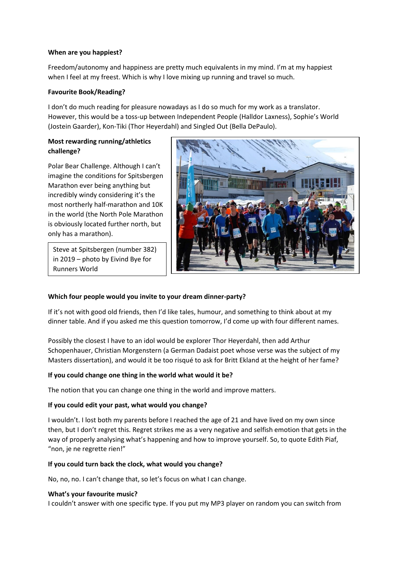## **When are you happiest?**

Freedom/autonomy and happiness are pretty much equivalents in my mind. I'm at my happiest when I feel at my freest. Which is why I love mixing up running and travel so much.

## **Favourite Book/Reading?**

I don't do much reading for pleasure nowadays as I do so much for my work as a translator. However, this would be a toss-up between Independent People (Halldor Laxness), Sophie's World (Jostein Gaarder), Kon-Tiki (Thor Heyerdahl) and Singled Out (Bella DePaulo).

# **Most rewarding running/athletics challenge?**

Polar Bear Challenge. Although I can't imagine the conditions for Spitsbergen Marathon ever being anything but incredibly windy considering it's the most northerly half-marathon and 10K in the world (the North Pole Marathon is obviously located further north, but only has a marathon).

Steve at Spitsbergen (number 382) in 2019 – photo by Eivind Bye for Runners World



# **Which four people would you invite to your dream dinner-party?**

If it's not with good old friends, then I'd like tales, humour, and something to think about at my dinner table. And if you asked me this question tomorrow, I'd come up with four different names.

Possibly the closest I have to an idol would be explorer Thor Heyerdahl, then add Arthur Schopenhauer, Christian Morgenstern (a German Dadaist poet whose verse was the subject of my Masters dissertation), and would it be too risqué to ask for Britt Ekland at the height of her fame?

# **If you could change one thing in the world what would it be?**

The notion that you can change one thing in the world and improve matters.

# **If you could edit your past, what would you change?**

I wouldn't. I lost both my parents before I reached the age of 21 and have lived on my own since then, but I don't regret this. Regret strikes me as a very negative and selfish emotion that gets in the way of properly analysing what's happening and how to improve yourself. So, to quote Edith Piaf, "non, je ne regrette rien!"

# **If you could turn back the clock, what would you change?**

No, no, no. I can't change that, so let's focus on what I can change.

# **What's your favourite music?**

I couldn't answer with one specific type. If you put my MP3 player on random you can switch from